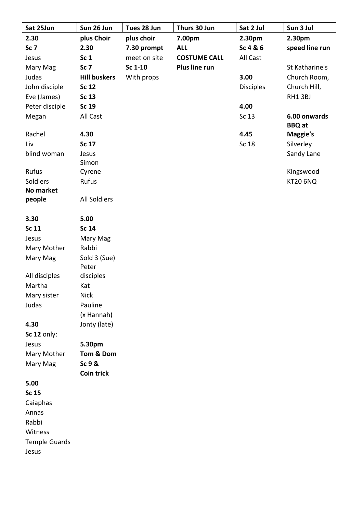| Sat 25Jun               | Sun 26 Jun          | Tues 28 Jun  | Thurs 30 Jun        | Sat 2 Jul        | Sun 3 Jul                     |
|-------------------------|---------------------|--------------|---------------------|------------------|-------------------------------|
| 2.30                    | plus Choir          | plus choir   | 7.00pm              | 2.30pm           | 2.30pm                        |
| Sc <sub>7</sub>         | 2.30                | 7.30 prompt  | <b>ALL</b>          | Sc 4 & 6         | speed line run                |
| Jesus                   | Sc <sub>1</sub>     | meet on site | <b>COSTUME CALL</b> | All Cast         |                               |
| Mary Mag                | Sc <sub>7</sub>     | Sc 1-10      | Plus line run       |                  | St Katharine's                |
| Judas                   | <b>Hill buskers</b> | With props   |                     | 3.00             | Church Room,                  |
| John disciple           | Sc 12               |              |                     | <b>Disciples</b> | Church Hill,                  |
| Eve (James)             | Sc 13               |              |                     |                  | RH13BJ                        |
| Peter disciple          | Sc 19               |              |                     | 4.00             |                               |
| Megan                   | All Cast            |              |                     | Sc 13            | 6.00 onwards<br><b>BBQ</b> at |
| Rachel                  | 4.30                |              |                     | 4.45             | <b>Maggie's</b>               |
| Liv                     | Sc 17               |              |                     | Sc 18            | Silverley                     |
| blind woman             | Jesus<br>Simon      |              |                     |                  | Sandy Lane                    |
| Rufus                   | Cyrene              |              |                     |                  | Kingswood                     |
| Soldiers                | Rufus               |              |                     |                  | <b>KT20 6NQ</b>               |
| <b>No market</b>        |                     |              |                     |                  |                               |
| people                  | <b>All Soldiers</b> |              |                     |                  |                               |
| 3.30                    | 5.00                |              |                     |                  |                               |
| <b>Sc 11</b>            | <b>Sc 14</b>        |              |                     |                  |                               |
| Jesus                   | Mary Mag            |              |                     |                  |                               |
| Mary Mother             | Rabbi               |              |                     |                  |                               |
| Mary Mag                | Sold 3 (Sue)        |              |                     |                  |                               |
|                         | Peter               |              |                     |                  |                               |
| All disciples<br>Martha | disciples           |              |                     |                  |                               |
|                         | Kat<br><b>Nick</b>  |              |                     |                  |                               |
| Mary sister<br>Judas    | Pauline             |              |                     |                  |                               |
|                         | (x Hannah)          |              |                     |                  |                               |
| 4.30                    | Jonty (late)        |              |                     |                  |                               |
| Sc 12 only:             |                     |              |                     |                  |                               |
| Jesus                   | 5.30pm              |              |                     |                  |                               |
| Mary Mother             | Tom & Dom           |              |                     |                  |                               |
| Mary Mag                | Sc 9 &              |              |                     |                  |                               |
|                         | <b>Coin trick</b>   |              |                     |                  |                               |
| 5.00                    |                     |              |                     |                  |                               |
| <b>Sc 15</b>            |                     |              |                     |                  |                               |
| Caiaphas                |                     |              |                     |                  |                               |
| Annas                   |                     |              |                     |                  |                               |
| Rabbi                   |                     |              |                     |                  |                               |
| Witness                 |                     |              |                     |                  |                               |
| <b>Temple Guards</b>    |                     |              |                     |                  |                               |
| Jesus                   |                     |              |                     |                  |                               |
|                         |                     |              |                     |                  |                               |